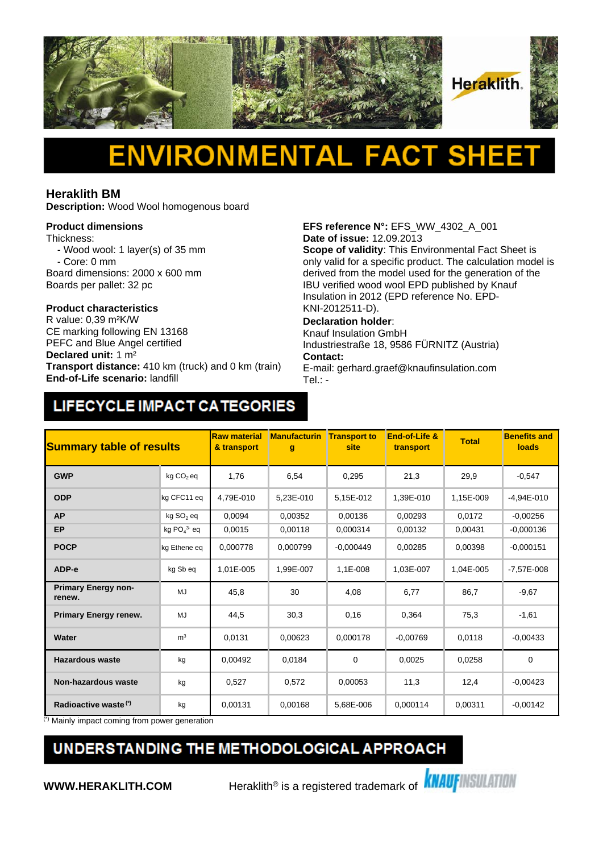

### Δ Н

### **Heraklith BM**

**Description:** Wood Wool homogenous board

### **Product dimensions**

Thickness:

- Wood wool: 1 layer(s) of 35 mm - Core: 0 mm
- Board dimensions: 2000 x 600 mm
- Boards per pallet: 32 pc

# **Product characteristics**

CE marking following EN 13168 PEFC and Blue Angel certified **Declared unit:** 1 m² **Transport distance:** 410 km (truck) and 0 km (train) **End-of-Life scenario:** landfill

# **EFS reference N°:** EFS\_WW\_4302\_A\_001 **Date of issue:** 12.09.2013

**Scope of validity**: This Environmental Fact Sheet is only valid for a specific product. The calculation model is derived from the model used for the generation of the IBU verified wood wool EPD published by Knauf Insulation in 2012 (EPD reference No. EPD-KNI-2012511-D).

### **Declaration holder**:

Knauf Insulation GmbH Industriestraße 18, 9586 FÜRNITZ (Austria) **Contact:** 

E-mail: gerhard.graef@knaufinsulation.com Tel.: -

## LIFECYCLE IMPACT CATEGORIES

| <b>Summary table of results</b>      |                       | <b>Raw material</b><br>& transport | <b>Manufacturin</b><br>g | <b>Transport to</b><br>site | End-of-Life &<br>transport | <b>Total</b> | <b>Benefits and</b><br>loads |
|--------------------------------------|-----------------------|------------------------------------|--------------------------|-----------------------------|----------------------------|--------------|------------------------------|
| <b>GWP</b>                           | $kg CO2$ eq           | 1,76                               | 6,54                     | 0,295                       | 21,3                       | 29,9         | $-0,547$                     |
| <b>ODP</b>                           | kg CFC11 eg           | 4.79E-010                          | 5,23E-010                | 5,15E-012                   | 1,39E-010                  | 1,15E-009    | $-4.94E - 010$               |
| <b>AP</b>                            | kg SO <sub>2</sub> eq | 0.0094                             | 0.00352                  | 0,00136                     | 0,00293                    | 0,0172       | $-0.00256$                   |
| <b>EP</b>                            | kg $PO43$ eq          | 0.0015                             | 0,00118                  | 0.000314                    | 0,00132                    | 0,00431      | $-0,000136$                  |
| <b>POCP</b>                          | kg Ethene eq          | 0,000778                           | 0,000799                 | $-0.000449$                 | 0,00285                    | 0.00398      | $-0,000151$                  |
| ADP-e                                | kg Sb eq              | 1,01E-005                          | 1,99E-007                | 1,1E-008                    | 1,03E-007                  | 1,04E-005    | $-7,57E-008$                 |
| <b>Primary Energy non-</b><br>renew. | MJ                    | 45.8                               | 30                       | 4,08                        | 6,77                       | 86,7         | $-9,67$                      |
| <b>Primary Energy renew.</b>         | MJ                    | 44,5                               | 30,3                     | 0,16                        | 0,364                      | 75,3         | $-1,61$                      |
| Water                                | m <sup>3</sup>        | 0,0131                             | 0,00623                  | 0,000178                    | $-0.00769$                 | 0,0118       | $-0,00433$                   |
| Hazardous waste                      | kg                    | 0,00492                            | 0,0184                   | $\mathbf 0$                 | 0,0025                     | 0,0258       | $\Omega$                     |
| <b>Non-hazardous waste</b>           | kg                    | 0,527                              | 0,572                    | 0,00053                     | 11,3                       | 12,4         | $-0,00423$                   |
| Radioactive waste <sup>(*)</sup>     | kg                    | 0.00131                            | 0,00168                  | 5,68E-006                   | 0,000114                   | 0,00311      | $-0,00142$                   |

Mainly impact coming from power generation

### UNDERSTANDING THE METHODOLOGICAL APPROACH

**WWW.HERAKLITH.COM** Heraklith<sup>®</sup> is a registered trademark of **KNAUFINSULATION**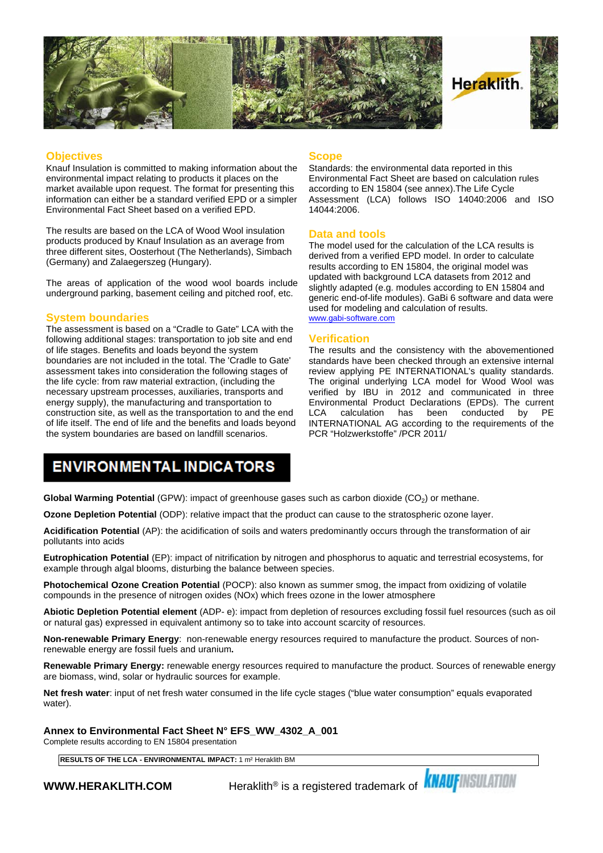

#### **Objectives**

Knauf Insulation is committed to making information about the environmental impact relating to products it places on the market available upon request. The format for presenting this information can either be a standard verified EPD or a simpler Environmental Fact Sheet based on a verified EPD.

The results are based on the LCA of Wood Wool insulation products produced by Knauf Insulation as an average from three different sites, Oosterhout (The Netherlands), Simbach (Germany) and Zalaegerszeg (Hungary).

The areas of application of the wood wool boards include underground parking, basement ceiling and pitched roof, etc.

#### **System boundaries**

The assessment is based on a "Cradle to Gate" LCA with the following additional stages: transportation to job site and end of life stages. Benefits and loads beyond the system boundaries are not included in the total. The 'Cradle to Gate' assessment takes into consideration the following stages of the life cycle: from raw material extraction, (including the necessary upstream processes, auxiliaries, transports and energy supply), the manufacturing and transportation to construction site, as well as the transportation to and the end LCA of life itself. The end of life and the benefits and loads beyond the system boundaries are based on landfill scenarios.

#### **Scope**

Standards: the environmental data reported in this Environmental Fact Sheet are based on calculation rules according to EN 15804 (see annex).The Life Cycle Assessment (LCA) follows ISO 14040:2006 and ISO 14044:2006.

### **Data and tools**

The model used for the calculation of the LCA results is derived from a verified EPD model. In order to calculate results according to EN 15804, the original model was updated with background LCA datasets from 2012 and slightly adapted (e.g. modules according to EN 15804 and generic end-of-life modules). GaBi 6 software and data were used for modeling and calculation of results. [www.gabi-software.com](http://www.gabi-software.com)

### **Verification**

The results and the consistency with the abovementioned standards have been checked through an extensive internal review applying PE INTERNATIONAL's quality standards. The original underlying LCA model for Wood Wool was verified by IBU in 2012 and communicated in three Environmental Product Declarations (EPDs). The current calculation has been conducted INTERNATIONAL AG according to the requirements of the PCR "Holzwerkstoffe" /PCR 2011/

### **ENVIRONMENTAL INDICATORS**

**Global Warming Potential** (GPW): impact of greenhouse gases such as carbon dioxide (CO<sub>2</sub>) or methane.

**Ozone Depletion Potential** (ODP): relative impact that the product can cause to the stratospheric ozone layer.

**Acidification Potential** (AP): the acidification of soils and waters predominantly occurs through the transformation of air pollutants into acids

**Eutrophication Potential** (EP): impact of nitrification by nitrogen and phosphorus to aquatic and terrestrial ecosystems, for example through algal blooms, disturbing the balance between species.

**Photochemical Ozone Creation Potential** (POCP): also known as summer smog, the impact from oxidizing of volatile compounds in the presence of nitrogen oxides (NOx) which frees ozone in the lower atmosphere

**Abiotic Depletion Potential element** (ADP- e): impact from depletion of resources excluding fossil fuel resources (such as oil or natural gas) expressed in equivalent antimony so to take into account scarcity of resources.

**Non-renewable Primary Energy**: non-renewable energy resources required to manufacture the product. Sources of nonrenewable energy are fossil fuels and uranium**.**

**Renewable Primary Energy:** renewable energy resources required to manufacture the product. Sources of renewable energy are biomass, wind, solar or hydraulic sources for example.

**Net fresh water**: input of net fresh water consumed in the life cycle stages ("blue water consumption" equals evaporated water).

**Annex to Environmental Fact Sheet N° EFS\_WW\_4302\_A\_001**

Complete results according to EN 15804 presentation

**RESULTS OF THE LCA - ENVIRONMENTAL IMPACT:** 1 m² Heraklith BM

**WWW.HERAKLITH.COM** Heraklith<sup>®</sup> is a registered trademark of **KNAUFINSULATION**